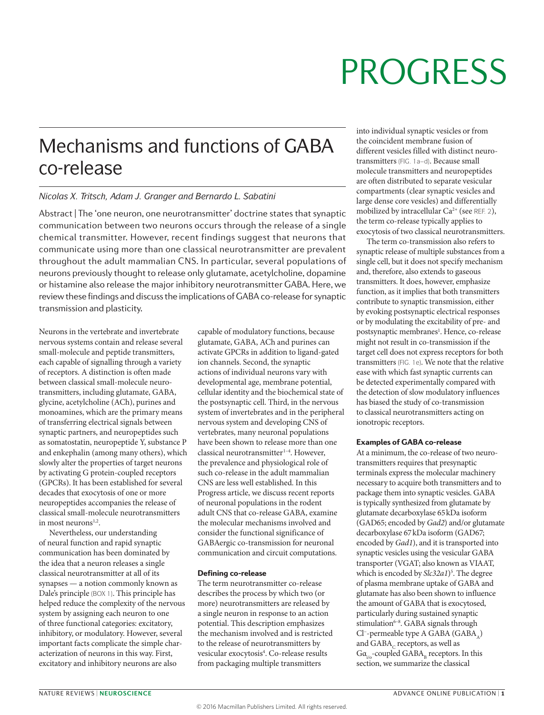## Mechanisms and functions of GABA co‑release

### *Nicolas X. Tritsch, Adam J. Granger and Bernardo L. Sabatini*

Abstract | The 'one neuron, one neurotransmitter' doctrine states that synaptic communication between two neurons occurs through the release of a single chemical transmitter. However, recent findings suggest that neurons that communicate using more than one classical neurotransmitter are prevalent throughout the adult mammalian CNS. In particular, several populations of neurons previously thought to release only glutamate, acetylcholine, dopamine or histamine also release the major inhibitory neurotransmitter GABA. Here, we review these findings and discuss the implications of GABA co-release for synaptic transmission and plasticity.

Neurons in the vertebrate and invertebrate nervous systems contain and release several small-molecule and peptide transmitters, each capable of signalling through a variety of receptors. A distinction is often made between classical small-molecule neurotransmitters, including glutamate, GABA, glycine, acetylcholine (ACh), purines and monoamines, which are the primary means of transferring electrical signals between synaptic partners, and neuropeptides such as somatostatin, neuropeptide Y, substance P and enkephalin (among many others), which slowly alter the properties of target neurons by activating G protein-coupled receptors (GPCRs). It has been established for several decades that exocytosis of one or more neuropeptides accompanies the release of classical small-molecule neurotransmitters in most neurons<sup>1,2</sup>.

Nevertheless, our understanding of neural function and rapid synaptic communication has been dominated by the idea that a neuron releases a single classical neurotransmitter at all of its synapses — a notion commonly known as Dale's principle (BOX 1). This principle has helped reduce the complexity of the nervous system by assigning each neuron to one of three functional categories: excitatory, inhibitory, or modulatory. However, several important facts complicate the simple characterization of neurons in this way. First, excitatory and inhibitory neurons are also

capable of modulatory functions, because glutamate, GABA, ACh and purines can activate GPCRs in addition to ligand-gated ion channels. Second, the synaptic actions of individual neurons vary with developmental age, membrane potential, cellular identity and the biochemical state of the postsynaptic cell. Third, in the nervous system of invertebrates and in the peripheral nervous system and developing CNS of vertebrates, many neuronal populations have been shown to release more than one classical neurotransmitter<sup>1-4</sup>. However, the prevalence and physiological role of such co-release in the adult mammalian CNS are less well established. In this Progress article, we discuss recent reports of neuronal populations in the rodent adult CNS that co-release GABA, examine the molecular mechanisms involved and consider the functional significance of GABAergic co-transmission for neuronal communication and circuit computations.

### Defining co-release

The term neurotransmitter co-release describes the process by which two (or more) neurotransmitters are released by a single neuron in response to an action potential. This description emphasizes the mechanism involved and is restricted to the release of neurotransmitters by vesicular exocytosis<sup>4</sup>. Co-release results from packaging multiple transmitters

into individual synaptic vesicles or from the coincident membrane fusion of different vesicles filled with distinct neurotransmitters (FIG. 1a–d). Because small molecule transmitters and neuropeptides are often distributed to separate vesicular compartments (clear synaptic vesicles and large dense core vesicles) and differentially mobilized by intracellular  $Ca^{2+}$  (see REF. 2), the term co-release typically applies to exocytosis of two classical neurotransmitters.

The term co-transmission also refers to synaptic release of multiple substances from a single cell, but it does not specify mechanism and, therefore, also extends to gaseous transmitters. It does, however, emphasize function, as it implies that both transmitters contribute to synaptic transmission, either by evoking postsynaptic electrical responses or by modulating the excitability of pre- and postsynaptic membranes<sup>1</sup>. Hence, co-release might not result in co-transmission if the target cell does not express receptors for both transmitters (FIG. 1e). We note that the relative ease with which fast synaptic currents can be detected experimentally compared with the detection of slow modulatory influences has biased the study of co-transmission to classical neurotransmitters acting on ionotropic receptors.

### Examples of GABA co‑release

At a minimum, the co-release of two neurotransmitters requires that presynaptic terminals express the molecular machinery necessary to acquire both transmitters and to package them into synaptic vesicles. GABA is typically synthesized from glutamate by glutamate decarboxylase 65kDa isoform (GAD65; encoded by *Gad2*) and/or glutamate decarboxylase 67kDa isoform (GAD67; encoded by *Gad1*), and it is transported into synaptic vesicles using the vesicular GABA transporter (VGAT; also known as VIAAT, which is encoded by *Slc32a1*) 5 . The degree of plasma membrane uptake of GABA and glutamate has also been shown to influence the amount of GABA that is exocytosed, particularly during sustained synaptic stimulation<sup>6-8</sup>. GABA signals through Cl<sup>-</sup>-permeable type A GABA (GABA<sub>A</sub>) and  $GABA_C$  receptors, as well as  $Ga<sub>io</sub>$ -coupled  $GABA<sub>n</sub>$  receptors. In this section, we summarize the classical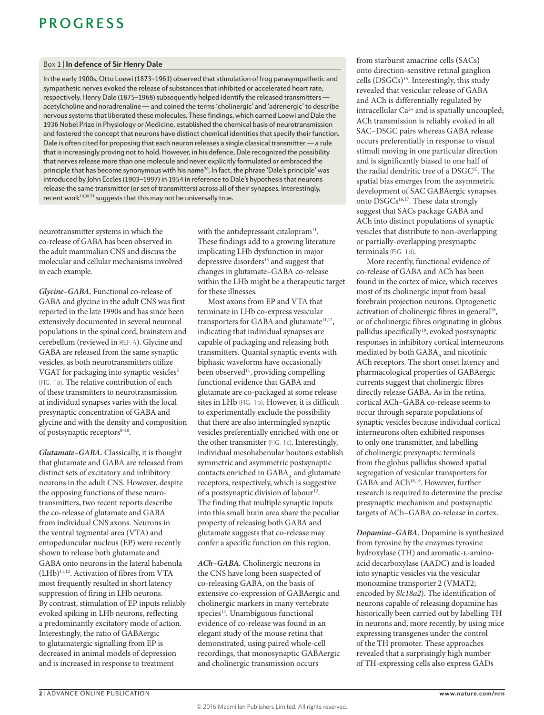### Box 1 | **In defence of Sir Henry Dale**

In the early 1900s, Otto Loewi (1873–1961) observed that stimulation of frog parasympathetic and sympathetic nerves evoked the release of substances that inhibited or accelerated heart rate, respectively. Henry Dale (1875–1968) subsequently helped identify the released transmitters acetylcholine and noradrenaline — and coined the terms 'cholinergic' and 'adrenergic' to describe nervous systems that liberated these molecules. These findings, which earned Loewi and Dale the 1936 Nobel Prize in Physiology or Medicine, established the chemical basis of neurotransmission and fostered the concept that neurons have distinct chemical identities that specify their function. Dale is often cited for proposing that each neuron releases a single classical transmitter — a rule that is increasingly proving not to hold. However, in his defence, Dale recognized the possibility that nerves release more than one molecule and never explicitly formulated or embraced the principle that has become synonymous with his name<sup>70</sup>. In fact, the phrase 'Dale's principle' was introduced by John Eccles (1903–1997) in 1954 in reference to Dale's hypothesis that neurons release the same transmitter (or set of transmitters) across all of their synapses. Interestingly, recent work $10,38,71$  suggests that this may not be universally true.

neurotransmitter systems in which the co-release of GABA has been observed in the adult mammalian CNS and discuss the molecular and cellular mechanisms involved in each example.

*Glycine–GABA.* Functional co-release of GABA and glycine in the adult CNS was first reported in the late 1990s and has since been extensively documented in several neuronal populations in the spinal cord, brainstem and cerebellum (reviewed in REF. 4). Glycine and GABA are released from the same synaptic vesicles, as both neurotransmitters utilize VGAT for packaging into synaptic vesicles<sup>5</sup> (FIG. 1a). The relative contribution of each of these transmitters to neurotransmission at individual synapses varies with the local presynaptic concentration of GABA and glycine and with the density and composition of postsynaptic receptors $8-10$ .

*Glutamate–GABA.* Classically, it is thought that glutamate and GABA are released from distinct sets of excitatory and inhibitory neurons in the adult CNS. However, despite the opposing functions of these neurotransmitters, two recent reports describe the co-release of glutamate and GABA from individual CNS axons. Neurons in the ventral tegmental area (VTA) and entopeduncular nucleus (EP) were recently shown to release both glutamate and GABA onto neurons in the lateral habenula (LHb)11,12. Activation of fibres from VTA most frequently resulted in short latency suppression of firing in LHb neurons. By contrast, stimulation of EP inputs reliably evoked spiking in LHb neurons, reflecting a predominantly excitatory mode of action. Interestingly, the ratio of GABAergic to glutamatergic signalling from EP is decreased in animal models of depression and is increased in response to treatment

with the antidepressant citalopram $11$ . These findings add to a growing literature implicating LHb dysfunction in major depressive disorders<sup>13</sup> and suggest that changes in glutamate–GABA co-release within the LHb might be a therapeutic target for these illnesses.

Most axons from EP and VTA that terminate in LHb co-express vesicular transporters for GABA and glutamate<sup>11,12</sup>, indicating that individual synapses are capable of packaging and releasing both transmitters. Quantal synaptic events with biphasic waveforms have occasionally been observed<sup>11</sup>, providing compelling functional evidence that GABA and glutamate are co-packaged at some release sites in LHb (FIG. 1b). However, it is difficult to experimentally exclude the possibility that there are also intermingled synaptic vesicles preferentially enriched with one or the other transmitter (FIG. 1c). Interestingly, individual mesohabenular boutons establish symmetric and asymmetric postsynaptic contacts enriched in GABA, and glutamate receptors, respectively, which is suggestive of a postsynaptic division of labour<sup>12</sup>. The finding that multiple synaptic inputs into this small brain area share the peculiar property of releasing both GABA and glutamate suggests that co-release may confer a specific function on this region.

*ACh–GABA.* Cholinergic neurons in the CNS have long been suspected of co-releasing GABA, on the basis of extensive co-expression of GABAergic and cholinergic markers in many vertebrate species<sup>14</sup>. Unambiguous functional evidence of co-release was found in an elegant study of the mouse retina that demonstrated, using paired whole-cell recordings, that monosynaptic GABAergic and cholinergic transmission occurs

from starburst amacrine cells (SACs) onto direction-sensitive retinal ganglion cells (DSGCs)15. Interestingly, this study revealed that vesicular release of GABA and ACh is differentially regulated by intracellular  $Ca^{2+}$  and is spatially uncoupled; ACh transmission is reliably evoked in all SAC–DSGC pairs whereas GABA release occurs preferentially in response to visual stimuli moving in one particular direction and is significantly biased to one half of the radial dendritic tree of a DSGC<sup>15</sup>. The spatial bias emerges from the asymmetric development of SAC GABAergic synapses onto DSGCs<sup>16,17</sup>. These data strongly suggest that SACs package GABA and ACh into distinct populations of synaptic vesicles that distribute to non-overlapping or partially-overlapping presynaptic terminals (FIG. 1d).

More recently, functional evidence of co-release of GABA and ACh has been found in the cortex of mice, which receives most of its cholinergic input from basal forebrain projection neurons. Optogenetic activation of cholinergic fibres in general<sup>18</sup>, or of cholinergic fibres originating in globus pallidus specifically<sup>19</sup>, evoked postsynaptic responses in inhibitory cortical interneurons mediated by both GABA, and nicotinic ACh receptors. The short onset latency and pharmacological properties of GABAergic currents suggest that cholinergic fibres directly release GABA. As in the retina, cortical ACh–GABA co-release seems to occur through separate populations of synaptic vesicles because individual cortical interneurons often exhibited responses to only one transmitter, and labelling of cholinergic presynaptic terminals from the globus pallidus showed spatial segregation of vesicular transporters for GABA and ACh<sup>18,19</sup>. However, further research is required to determine the precise presynaptic mechanism and postsynaptic targets of ACh–GABA co-release in cortex.

*Dopamine–GABA.* Dopamine is synthesized from tyrosine by the enzymes tyrosine hydroxylase (TH) and aromatic-L-aminoacid decarboxylase (AADC) and is loaded into synaptic vesicles via the vesicular monoamine transporter 2 (VMAT2; encoded by *Slc18a2*). The identification of neurons capable of releasing dopamine has historically been carried out by labelling TH in neurons and, more recently, by using mice expressing transgenes under the control of the TH promoter. These approaches revealed that a surprisingly high number of TH-expressing cells also express GADs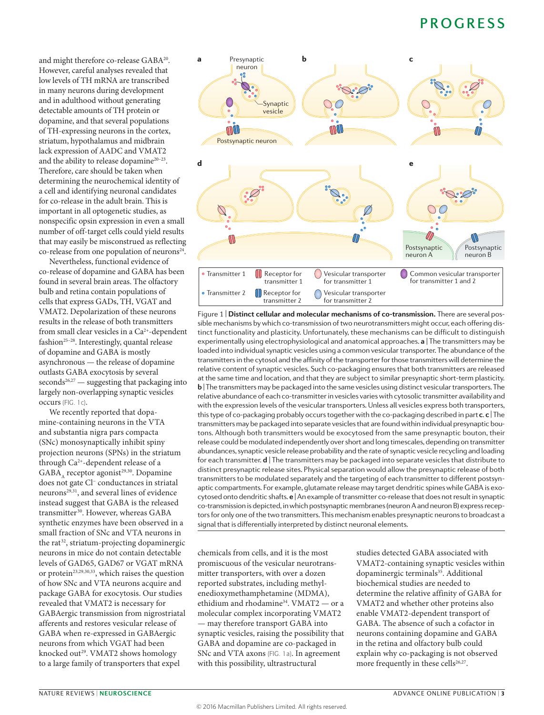and might therefore co-release GABA20. However, careful analyses revealed that low levels of TH mRNA are transcribed in many neurons during development and in adulthood without generating detectable amounts of TH protein or dopamine, and that several populations of TH-expressing neurons in the cortex, striatum, hypothalamus and midbrain lack expression of AADC and VMAT2 and the ability to release dopamine<sup>20-23</sup>. Therefore, care should be taken when determining the neurochemical identity of a cell and identifying neuronal candidates for co-release in the adult brain. This is important in all optogenetic studies, as nonspecific opsin expression in even a small number of off-target cells could yield results that may easily be misconstrued as reflecting co-release from one population of neurons<sup>24</sup>.

Nevertheless, functional evidence of co-release of dopamine and GABA has been found in several brain areas. The olfactory bulb and retina contain populations of cells that express GADs, TH, VGAT and VMAT2. Depolarization of these neurons results in the release of both transmitters from small clear vesicles in a  $Ca^{2+}$ -dependent fashion<sup>25-28</sup>. Interestingly, quantal release of dopamine and GABA is mostly asynchronous — the release of dopamine outlasts GABA exocytosis by several  $seconds<sup>26,27</sup>$  — suggesting that packaging into largely non-overlapping synaptic vesicles occurs (FIG. 1c).

We recently reported that dopamine-containing neurons in the VTA and substantia nigra pars compacta (SNc) monosynaptically inhibit spiny projection neurons (SPNs) in the striatum through Ca2+-dependent release of a GABA, receptor agonist<sup>29,30</sup>. Dopamine does not gate Cl− conductances in striatal neurons<sup>29,31</sup>, and several lines of evidence instead suggest that GABA is the released transmitter<sup>30</sup>. However, whereas GABA synthetic enzymes have been observed in a small fraction of SNc and VTA neurons in the rat<sup>32</sup>, striatum-projecting dopaminergic neurons in mice do not contain detectable levels of GAD65, GAD67 or VGAT mRNA or protein<sup>23,29,30,33</sup>, which raises the question of how SNc and VTA neurons acquire and package GABA for exocytosis. Our studies revealed that VMAT2 is necessary for GABAergic transmission from nigrostriatal afferents and restores vesicular release of GABA when re-expressed in GABAergic neurons from which VGAT had been knocked out<sup>29</sup>. VMAT2 shows homology to a large family of transporters that expel



Figure 1 | **Distinct cellular and molecular mechanisms of co‑transmission.** There are several pos‑ sible mechanisms by which co-transmission of two neurotransmitters might occur, each offering distinct functionality and plasticity. Unfortunately, these mechanisms can be difficult to distinguish experimentally using electrophysiological and anatomical approaches. **a** | The transmitters may be loaded into individual synaptic vesicles using a common vesicular transporter. The abundance of the transmitters in the cytosol and the affinity of the transporter for those transmitters will determine the relative content of synaptic vesicles. Such co‑packaging ensures that both transmitters are released at the same time and location, and that they are subject to similar presynaptic short-term plasticity. **b** | The transmitters may be packaged into the same vesicles using distinct vesicular transporters. The relative abundance of each co-transmitter in vesicles varies with cytosolic transmitter availability and with the expression levels of the vesicular transporters. Unless all vesicles express both transporters, this type of co‑packaging probably occurs together with the co‑packaging described in part **c**. **c** | The transmitters may be packaged into separate vesicles that are found within individual presynaptic boutons. Although both transmitters would be exocytosed from the same presynaptic bouton, their release could be modulated independently over short and long timescales, depending on transmitter abundances, synaptic vesicle release probability and the rate of synaptic vesicle recycling and loading for each transmitter. **d** | The transmitters may be packaged into separate vesicles that distribute to distinct presynaptic release sites. Physical separation would allow the presynaptic release of both transmitters to be modulated separately and the targeting of each transmitter to different postsynaptic compartments. For example, glutamate release may target dendritic spines while GABA is exocytosed onto dendritic shafts. **e** | An example of transmitter co‑release that does not result in synaptic co-transmission is depicted, in which postsynaptic membranes (neuron A and neuron B) express receptors for only one of the two transmitters. This mechanism enables presynaptic neurons to broadcast a signal that is differentially interpreted by distinct neuronal elements.

chemicals from cells, and it is the most promiscuous of the vesicular neurotransmitter transporters, with over a dozen reported substrates, including methylenedioxymethamphetamine (MDMA), ethidium and rhodamine<sup>34</sup>. VMAT2 — or a molecular complex incorporating VMAT2 — may therefore transport GABA into synaptic vesicles, raising the possibility that GABA and dopamine are co-packaged in SNc and VTA axons (FIG. 1a). In agreement with this possibility, ultrastructural

studies detected GABA associated with VMAT2-containing synaptic vesicles within dopaminergic terminals<sup>35</sup>. Additional biochemical studies are needed to determine the relative affinity of GABA for VMAT2 and whether other proteins also enable VMAT2-dependent transport of GABA. The absence of such a cofactor in neurons containing dopamine and GABA in the retina and olfactory bulb could explain why co-packaging is not observed more frequently in these cells<sup>26,27</sup>.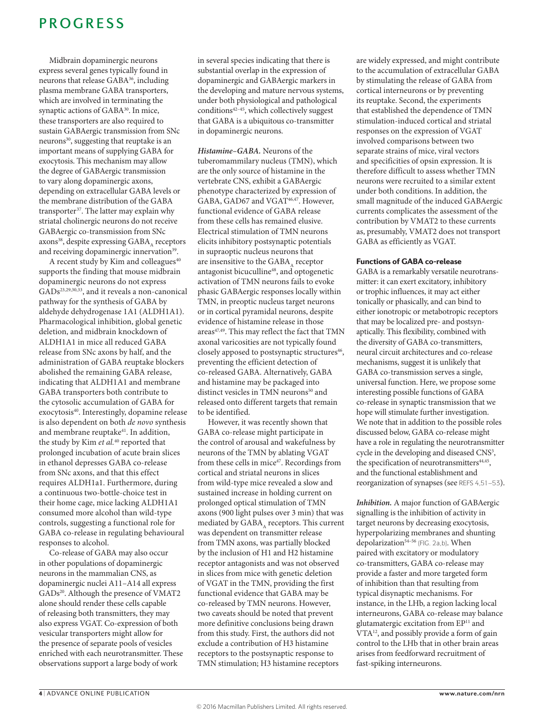Midbrain dopaminergic neurons express several genes typically found in neurons that release GABA36, including plasma membrane GABA transporters, which are involved in terminating the synaptic actions of GABA<sup>30</sup>. In mice, these transporters are also required to sustain GABAergic transmission from SNc neurons30, suggesting that reuptake is an important means of supplying GABA for exocytosis. This mechanism may allow the degree of GABAergic transmission to vary along dopaminergic axons, depending on extracellular GABA levels or the membrane distribution of the GABA transporter<sup>37</sup>. The latter may explain why striatal cholinergic neurons do not receive GABAergic co-transmission from SNc axons<sup>38</sup>, despite expressing GABA<sub>A</sub> receptors and receiving dopaminergic innervation<sup>39</sup>.

A recent study by Kim and colleagues<sup>40</sup> supports the finding that mouse midbrain dopaminergic neurons do not express GADs23,29,30,33, and it reveals a non-canonical pathway for the synthesis of GABA by aldehyde dehydrogenase 1A1 (ALDH1A1). Pharmacological inhibition, global genetic deletion, and midbrain knockdown of ALDH1A1 in mice all reduced GABA release from SNc axons by half, and the administration of GABA reuptake blockers abolished the remaining GABA release, indicating that ALDH1A1 and membrane GABA transporters both contribute to the cytosolic accumulation of GABA for exocytosis<sup>40</sup>. Interestingly, dopamine release is also dependent on both *de novo* synthesis and membrane reuptake<sup>41</sup>. In addition, the study by Kim *et al.*40 reported that prolonged incubation of acute brain slices in ethanol depresses GABA co-release from SNc axons, and that this effect requires ALDH1a1. Furthermore, during a continuous two-bottle-choice test in their home cage, mice lacking ALDH1A1 consumed more alcohol than wild-type controls, suggesting a functional role for GABA co-release in regulating behavioural responses to alcohol.

Co-release of GABA may also occur in other populations of dopaminergic neurons in the mammalian CNS, as dopaminergic nuclei A11–A14 all express GADs<sup>20</sup>. Although the presence of VMAT2 alone should render these cells capable of releasing both transmitters, they may also express VGAT. Co-expression of both vesicular transporters might allow for the presence of separate pools of vesicles enriched with each neurotransmitter. These observations support a large body of work

in several species indicating that there is substantial overlap in the expression of dopaminergic and GABAergic markers in the developing and mature nervous systems, under both physiological and pathological  $conditions<sup>42-45</sup>$ , which collectively suggest that GABA is a ubiquitous co-transmitter in dopaminergic neurons.

*Histamine–GABA.* Neurons of the tuberomammilary nucleus (TMN), which are the only source of histamine in the vertebrate CNS, exhibit a GABAergic phenotype characterized by expression of GABA, GAD67 and VGAT<sup>46,47</sup>. However, functional evidence of GABA release from these cells has remained elusive. Electrical stimulation of TMN neurons elicits inhibitory postsynaptic potentials in supraoptic nucleus neurons that are insensitive to the GABA, receptor antagonist bicuculline<sup>48</sup>, and optogenetic activation of TMN neurons fails to evoke phasic GABAergic responses locally within TMN, in preoptic nucleus target neurons or in cortical pyramidal neurons, despite evidence of histamine release in those areas<sup>47,49</sup>. This may reflect the fact that TMN axonal varicosities are not typically found closely apposed to postsynaptic structures<sup>46</sup>, preventing the efficient detection of co-released GABA. Alternatively, GABA and histamine may be packaged into distinct vesicles in TMN neurons<sup>50</sup> and released onto different targets that remain to be identified.

However, it was recently shown that GABA co-release might participate in the control of arousal and wakefulness by neurons of the TMN by ablating VGAT from these cells in mice<sup>47</sup>. Recordings from cortical and striatal neurons in slices from wild-type mice revealed a slow and sustained increase in holding current on prolonged optical stimulation of TMN axons (900 light pulses over 3 min) that was mediated by GABA, receptors. This current was dependent on transmitter release from TMN axons, was partially blocked by the inclusion of H1 and H2 histamine receptor antagonists and was not observed in slices from mice with genetic deletion of VGAT in the TMN, providing the first functional evidence that GABA may be co-released by TMN neurons. However, two caveats should be noted that prevent more definitive conclusions being drawn from this study. First, the authors did not exclude a contribution of H3 histamine receptors to the postsynaptic response to TMN stimulation; H3 histamine receptors

are widely expressed, and might contribute to the accumulation of extracellular GABA by stimulating the release of GABA from cortical interneurons or by preventing its reuptake. Second, the experiments that established the dependence of TMN stimulation-induced cortical and striatal responses on the expression of VGAT involved comparisons between two separate strains of mice, viral vectors and specificities of opsin expression. It is therefore difficult to assess whether TMN neurons were recruited to a similar extent under both conditions. In addition, the small magnitude of the induced GABAergic currents complicates the assessment of the contribution by VMAT2 to these currents as, presumably, VMAT2 does not transport GABA as efficiently as VGAT.

### Functions of GABA co‑release

GABA is a remarkably versatile neurotransmitter: it can exert excitatory, inhibitory or trophic influences, it may act either tonically or phasically, and can bind to either ionotropic or metabotropic receptors that may be localized pre- and postsynaptically. This flexibility, combined with the diversity of GABA co-transmitters, neural circuit architectures and co-release mechanisms, suggest it is unlikely that GABA co-transmission serves a single, universal function. Here, we propose some interesting possible functions of GABA co-release in synaptic transmission that we hope will stimulate further investigation. We note that in addition to the possible roles discussed below, GABA co-release might have a role in regulating the neurotransmitter cycle in the developing and diseased CNS<sup>3</sup>, the specification of neurotransmitters<sup>44,45</sup>, and the functional establishment and reorganization of synapses (see REFS 4,51–53).

*Inhibition.* A major function of GABAergic signalling is the inhibition of activity in target neurons by decreasing exocytosis, hyperpolarizing membranes and shunting depolarization<sup>54-56</sup> (FIG. 2a,b). When paired with excitatory or modulatory co-transmitters, GABA co-release may provide a faster and more targeted form of inhibition than that resulting from typical disynaptic mechanisms. For instance, in the LHb, a region lacking local interneurons, GABA co-release may balance glutamatergic excitation from EP11 and VTA12, and possibly provide a form of gain control to the LHb that in other brain areas arises from feedforward recruitment of fast-spiking interneurons.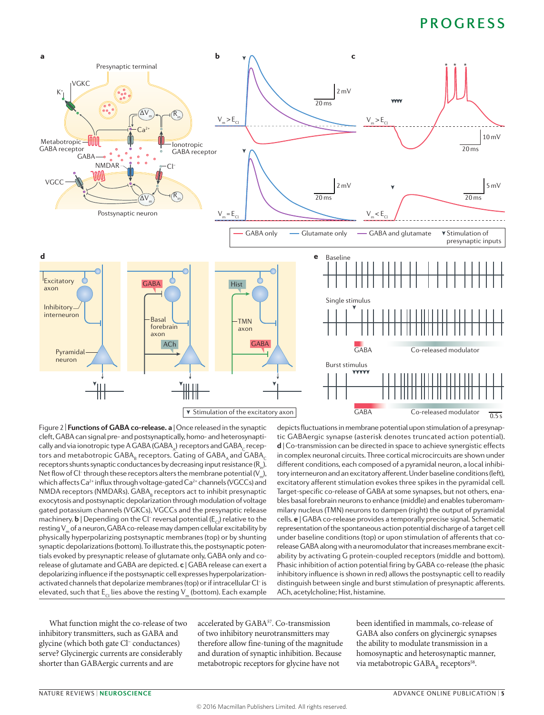

Figure 2 | **Functions of GABA co-release. a** | Once released in the synaptic cleft, GABA can signal pre- and postsynaptically, homo- and heterosynaptically and via ionotropic type A GABA (GABA) receptors and GABA<sub>c</sub> receptors and metabotropic GABA $_{\textrm{\tiny{B}}}$  receptors. Gating of GABA $_{\textrm{\tiny{A}}}$  and GABA $_{\textrm{\tiny{C}}}$ receptors shunts synaptic conductances by decreasing input resistance  $(R_1)$ . Net flow of Cl<sup>-</sup> through these receptors alters the membrane potential (V<sub>m</sub>), which affects  $Ca^{2+}$  influx through voltage-gated  $Ca^{2+}$  channels (VGCCs) and NMDA receptors (NMDARs). GABA<sub>B</sub> receptors act to inhibit presynaptic exocytosis and postsynaptic depolarization through modulation of voltage gated potassium channels (VGKCs), VGCCs and the presynaptic release machinery.  $\bm{\mathsf{b}}$  | Depending on the Cl<sup>−</sup> reversal potential (E<sub>Cl</sub>) relative to the resting V<sub>m</sub> of a neuron, GABA co-release may dampen cellular excitability by physically hyperpolarizing postsynaptic membranes (top) or by shunting synaptic depolarizations (bottom). To illustrate this, the postsynaptic potentials evoked by presynaptic release of glutamate only, GABA only and corelease of glutamate and GABA are depicted. **c** | GABA release can exert a depolarizing influence if the postsynaptic cell expresses hyperpolarizationactivated channels that depolarize membranes (top) or if intracellular Cl<sup>−</sup> is elevated, such that  $E<sub>CI</sub>$  lies above the resting V<sub>m</sub> (bottom). Each example

depicts fluctuations in membrane potential upon stimulation of a presynaptic GABAergic synapse (asterisk denotes truncated action potential). **d** | Co-transmission can be directed in space to achieve synergistic effects in complex neuronal circuits. Three cortical microcircuits are shown under different conditions, each composed of a pyramidal neuron, a local inhibitory interneuron and an excitatory afferent. Under baseline conditions (left), excitatory afferent stimulation evokes three spikes in the pyramidal cell. Target-specific co-release of GABA at some synapses, but not others, enables basal forebrain neurons to enhance (middle) and enables tuberomammilary nucleus (TMN) neurons to dampen (right) the output of pyramidal cells. **e** | GABA co-release provides a temporally precise signal. Schematic representation of the spontaneous action potential discharge of a target cell under baseline conditions (top) or upon stimulation of afferents that corelease GABA along with a neuromodulator that increases membrane excitability by activating G protein‑coupled receptors (middle and bottom). Phasic inhibition of action potential firing by GABA co-release (the phasic inhibitory influence is shown in red) allows the postsynaptic cell to readily distinguish between single and burst stimulation of presynaptic afferents. ACh, acetylcholine; Hist, histamine.

What function might the co-release of two inhibitory transmitters, such as GABA and glycine (which both gate Cl− conductances) serve? Glycinergic currents are considerably shorter than GABAergic currents and are

accelerated by GABA<sup>57</sup>. Co-transmission of two inhibitory neurotransmitters may therefore allow fine-tuning of the magnitude and duration of synaptic inhibition. Because metabotropic receptors for glycine have not

been identified in mammals, co-release of GABA also confers on glycinergic synapses the ability to modulate transmission in a homosynaptic and heterosynaptic manner, via metabotropic  $GABA_{\text{B}}$  receptors<sup>58</sup>.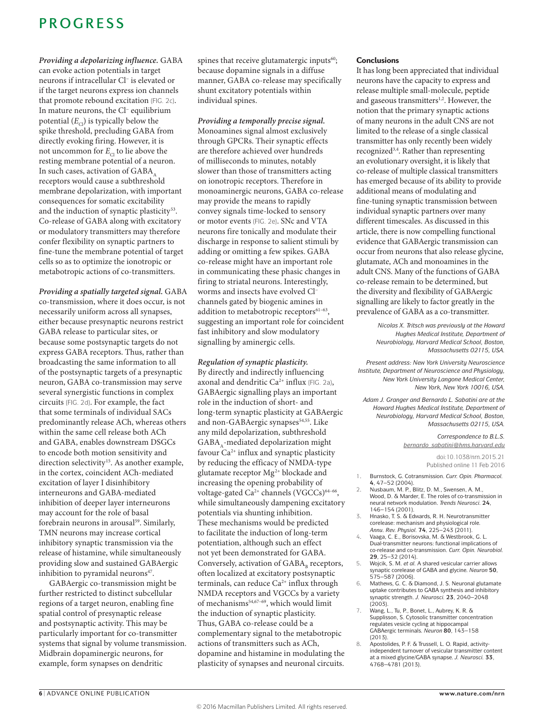*Providing a depolarizing influence.* GABA can evoke action potentials in target neurons if intracellular Cl− is elevated or if the target neurons express ion channels that promote rebound excitation (FIG. 2c). In mature neurons, the Cl− equilibrium potential  $(E_{c})$  is typically below the spike threshold, precluding GABA from directly evoking firing. However, it is not uncommon for  $E_{\text{CI}}$  to lie above the resting membrane potential of a neuron. In such cases, activation of GABA, receptors would cause a subthreshold membrane depolarization, with important consequences for somatic excitability and the induction of synaptic plasticity<sup>53</sup>. Co-release of GABA along with excitatory or modulatory transmitters may therefore confer flexibility on synaptic partners to fine-tune the membrane potential of target cells so as to optimize the ionotropic or metabotropic actions of co-transmitters.

*Providing a spatially targeted signal.* GABA co-transmission, where it does occur, is not necessarily uniform across all synapses, either because presynaptic neurons restrict GABA release to particular sites, or because some postsynaptic targets do not express GABA receptors. Thus, rather than broadcasting the same information to all of the postsynaptic targets of a presynaptic neuron, GABA co-transmission may serve several synergistic functions in complex circuits (FIG. 2d). For example, the fact that some terminals of individual SACs predominantly release ACh, whereas others within the same cell release both ACh and GABA, enables downstream DSGCs to encode both motion sensitivity and direction selectivity<sup>15</sup>. As another example, in the cortex, coincident ACh-mediated excitation of layer I disinhibitory interneurons and GABA-mediated inhibition of deeper layer interneurons may account for the role of basal forebrain neurons in arousal<sup>59</sup>. Similarly, TMN neurons may increase cortical inhibitory synaptic transmission via the release of histamine, while simultaneously providing slow and sustained GABAergic inhibition to pyramidal neurons<sup>47</sup>.

GABAergic co-transmission might be further restricted to distinct subcellular regions of a target neuron, enabling fine spatial control of presynaptic release and postsynaptic activity. This may be particularly important for co-transmitter systems that signal by volume transmission. Midbrain dopaminergic neurons, for example, form synapses on dendritic

spines that receive glutamatergic inputs<sup>60</sup>; because dopamine signals in a diffuse manner, GABA co-release may specifically shunt excitatory potentials within individual spines.

### *Providing a temporally precise signal.*

Monoamines signal almost exclusively through GPCRs. Their synaptic effects are therefore achieved over hundreds of milliseconds to minutes, notably slower than those of transmitters acting on ionotropic receptors. Therefore in monoaminergic neurons, GABA co-release may provide the means to rapidly convey signals time-locked to sensory or motor events (FIG. 2e). SNc and VTA neurons fire tonically and modulate their discharge in response to salient stimuli by adding or omitting a few spikes. GABA co-release might have an important role in communicating these phasic changes in firing to striatal neurons. Interestingly, worms and insects have evolved Cl− channels gated by biogenic amines in addition to metabotropic receptors $61-63$ , suggesting an important role for coincident fast inhibitory and slow modulatory signalling by aminergic cells.

*Regulation of synaptic plasticity.* By directly and indirectly influencing axonal and dendritic  $Ca^{2+}$  influx (FIG. 2a), GABAergic signalling plays an important role in the induction of short- and long-term synaptic plasticity at GABAergic and non-GABAergic synapses<sup>54,55</sup>. Like any mild depolarization, subthreshold GABA s-mediated depolarization might favour  $Ca^{2+}$  influx and synaptic plasticity by reducing the efficacy of NMDA-type glutamate receptor Mg2+ blockade and increasing the opening probability of voltage-gated Ca<sup>2+</sup> channels (VGCCs)<sup>64-66</sup>, while simultaneously dampening excitatory potentials via shunting inhibition. These mechanisms would be predicted to facilitate the induction of long-term potentiation, although such an effect not yet been demonstrated for GABA. Conversely, activation of  $GABA<sub>n</sub>$  receptors, often localized at excitatory postsynaptic terminals, can reduce  $Ca^{2+}$  influx through NMDA receptors and VGCCs by a variety of mechanisms54,67–69, which would limit the induction of synaptic plasticity. Thus, GABA co-release could be a complementary signal to the metabotropic actions of transmitters such as ACh, dopamine and histamine in modulating the plasticity of synapses and neuronal circuits.

#### **Conclusions**

It has long been appreciated that individual neurons have the capacity to express and release multiple small-molecule, peptide and gaseous transmitters<sup>1,2</sup>. However, the notion that the primary synaptic actions of many neurons in the adult CNS are not limited to the release of a single classical transmitter has only recently been widely recognized3,4 . Rather than representing an evolutionary oversight, it is likely that co-release of multiple classical transmitters has emerged because of its ability to provide additional means of modulating and fine-tuning synaptic transmission between individual synaptic partners over many different timescales. As discussed in this article, there is now compelling functional evidence that GABAergic transmission can occur from neurons that also release glycine, glutamate, ACh and monoamines in the adult CNS. Many of the functions of GABA co-release remain to be determined, but the diversity and flexibility of GABAergic signalling are likely to factor greatly in the prevalence of GABA as a co-transmitter.

> *Nicolas X. Tritsch was previously at the Howard Hughes Medical Institute, Department of Neurobiology, Harvard Medical School, Boston, Massachusetts 02115, USA.*

*Present address: New York University Neuroscience Institute, Department of Neuroscience and Physiology, New York University Langone Medical Center, New York, New York 10016, USA.*

*Adam J. Granger and Bernardo L. Sabatini are at the Howard Hughes Medical Institute, Department of Neurobiology, Harvard Medical School, Boston, Massachusetts 02115, USA.*

> *Correspondence to B.L.S. [bernardo\\_sabatini@hms.harvard.edu](mailto:bernardo_sabatini@hms.harvard.edu)*

> > doi:10.1038/nrn.2015.21 Published online 11 Feb 2016

- 1. Burnstock, G. Cotransmission. *Curr. Opin. Pharmacol.*
- **4**, 47–52 (2004). 2. Nusbaum, M. P., Blitz, D. M., Swensen, A. M., Wood, D. & Marder, E. The roles of co-transmission in neural network modulation. *Trends Neurosci.* **24**, 146–154 (2001).
- 3. Hnasko, T. S. & Edwards, R. H. Neurotransmitter corelease: mechanism and physiological role. *Annu. Rev. Physiol.* **74**, 225–243 (2011).
- 4. Vaaga, C. E., Borisovska, M. & Westbrook, G. L. Dual‑transmitter neurons: functional implications of co‑release and co‑transmission. *Curr. Opin. Neurobiol.*  **29**, 25–32 (2014).
- 5. Wojcik, S. M. *et al.* A shared vesicular carrier allows synaptic corelease of GABA and glycine. *Neuron* **50**, 575–587 (2006).
- 6. Mathews, G. C. & Diamond, J. S. Neuronal glutamate uptake contributes to GABA synthesis and inhibitory synaptic strength. *J. Neurosci.* **23**, 2040–2048 (2003).
- 7. Wang, L., Tu, P., Bonet, L., Aubrey, K. R. & Supplisson, S. Cytosolic transmitter concentration regulates vesicle cycling at hippocampal GABAergic terminals. *Neuron* **80**, 143–158 (2013).
- 8. Apostolides, P. F. & Trussell, L. O. Rapid, activityindependent turnover of vesicular transmitter content at a mixed glycine/GABA synapse. *J. Neurosci.* **33**, 4768–4781 (2013).